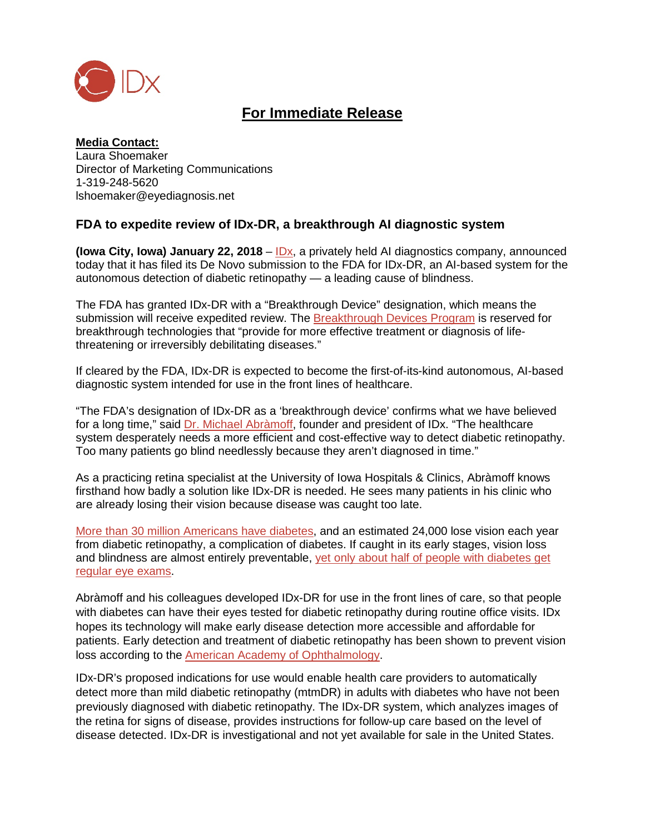

## **For Immediate Release**

**Media Contact:** Laura Shoemaker Director of Marketing Communications 1-319-248-5620 lshoemaker@eyediagnosis.net

## **FDA to expedite review of IDx-DR, a breakthrough AI diagnostic system**

**(Iowa City, Iowa) January 22, 2018** – [IDx,](https://www.eyediagnosis.net/leadership) a privately held AI diagnostics company, announced today that it has filed its De Novo submission to the FDA for IDx-DR, an AI-based system for the autonomous detection of diabetic retinopathy — a leading cause of blindness.

The FDA has granted IDx-DR with a "Breakthrough Device" designation, which means the submission will receive expedited review. The [Breakthrough Devices Program](https://www.fda.gov/downloads/MedicalDevices/DeviceRegulationandGuidance/GuidanceDocuments/UCM581664.pdf) is reserved for breakthrough technologies that "provide for more effective treatment or diagnosis of lifethreatening or irreversibly debilitating diseases."

If cleared by the FDA, IDx-DR is expected to become the first-of-its-kind autonomous, AI-based diagnostic system intended for use in the front lines of healthcare.

"The FDA's designation of IDx-DR as a 'breakthrough device' confirms what we have believed for a long time," said [Dr. Michael Abràmoff,](https://medicine.uiowa.edu/eye/abramoff) founder and president of IDx. "The healthcare system desperately needs a more efficient and cost-effective way to detect diabetic retinopathy. Too many patients go blind needlessly because they aren't diagnosed in time."

As a practicing retina specialist at the University of Iowa Hospitals & Clinics, Abràmoff knows firsthand how badly a solution like IDx-DR is needed. He sees many patients in his clinic who are already losing their vision because disease was caught too late.

[More than 30 million Americans have diabetes,](https://professional.diabetes.org/content/fast-facts-data-and-statistics-about-diabetes) and [an estimated](https://www.cdc.gov/visionhealth/projects/economic_studies.htm) 24,000 lose vision each year from [diabetic retinopathy,](https://www.cdc.gov/visionhealth/projects/economic_studies.htm) a complication of diabetes. If caught in its early stages, vision loss and blindness are almost entirely preventable, yet only about half [of people with diabetes get](https://www.cdc.gov/visionhealth/projects/economic_studies.htm)  regular [eye exams.](https://www.cdc.gov/visionhealth/projects/economic_studies.htm)

Abràmoff and his colleagues developed IDx-DR for use in the front lines of care, so that people with diabetes can have their eyes tested for diabetic retinopathy during routine office visits. IDx hopes its technology will make early disease detection more accessible and affordable for patients. Early detection and treatment of diabetic retinopathy has been shown to prevent vision loss according to the [American Academy of Ophthalmology.](https://www.aao.org/preferred-practice-pattern/diabetic-retinopathy-ppp-updated-2017)

IDx-DR's proposed indications for use would enable health care providers to automatically detect more than mild diabetic retinopathy (mtmDR) in adults with diabetes who have not been previously diagnosed with diabetic retinopathy. The IDx-DR system, which analyzes images of the retina for signs of disease, provides instructions for follow-up care based on the level of disease detected. IDx-DR is investigational and not yet available for sale in the United States.